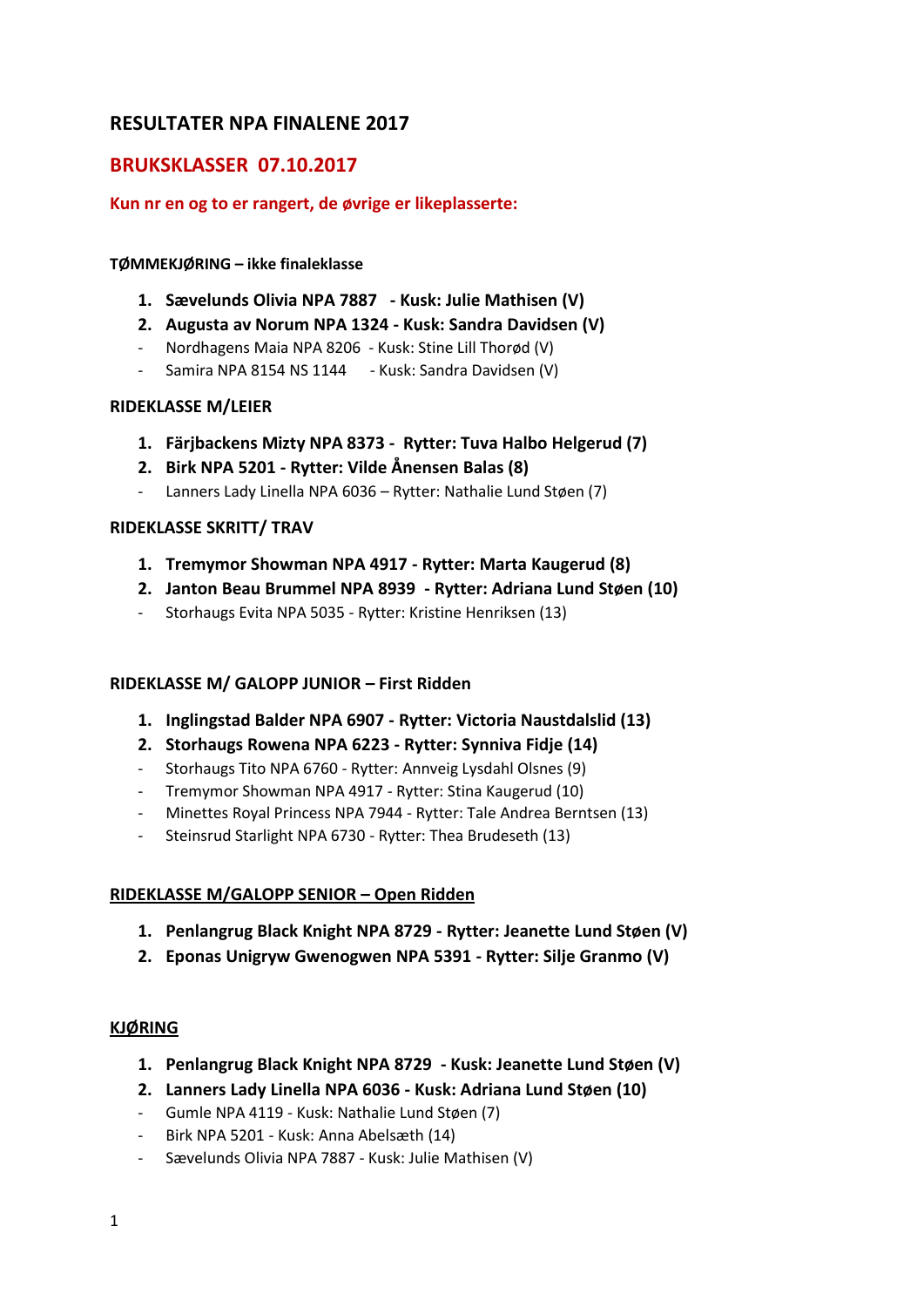# **RESULTATER NPA FINALENE 2017**

## **BRUKSKLASSER 07.10.2017**

## **Kun nr en og to er rangert, de øvrige er likeplasserte:**

### **TØMMEKJØRING – ikke finaleklasse**

- **1. Sævelunds Olivia NPA 7887 - Kusk: Julie Mathisen (V)**
- **2. Augusta av Norum NPA 1324 - Kusk: Sandra Davidsen (V)**
- Nordhagens Maia NPA 8206 Kusk: Stine Lill Thorød (V)
- Samira NPA 8154 NS 1144 Kusk: Sandra Davidsen (V)

## **RIDEKLASSE M/LEIER**

- **1. Färjbackens Mizty NPA 8373 Rytter: Tuva Halbo Helgerud (7)**
- **2. Birk NPA 5201 - Rytter: Vilde Ånensen Balas (8)**
- Lanners Lady Linella NPA 6036 Rytter: Nathalie Lund Støen (7)

## **RIDEKLASSE SKRITT/ TRAV**

- **1. Tremymor Showman NPA 4917 - Rytter: Marta Kaugerud (8)**
- **2. Janton Beau Brummel NPA 8939 - Rytter: Adriana Lund Støen (10)**
- Storhaugs Evita NPA 5035 Rytter: Kristine Henriksen (13)

## **RIDEKLASSE M/ GALOPP JUNIOR – First Ridden**

- **1. Inglingstad Balder NPA 6907 - Rytter: Victoria Naustdalslid (13)**
- **2. Storhaugs Rowena NPA 6223 - Rytter: Synniva Fidje (14)**
- Storhaugs Tito NPA 6760 Rytter: Annveig Lysdahl Olsnes (9)
- Tremymor Showman NPA 4917 Rytter: Stina Kaugerud (10)
- Minettes Royal Princess NPA 7944 Rytter: Tale Andrea Berntsen (13)
- Steinsrud Starlight NPA 6730 Rytter: Thea Brudeseth (13)

## **RIDEKLASSE M/GALOPP SENIOR – Open Ridden**

- **1. Penlangrug Black Knight NPA 8729 - Rytter: Jeanette Lund Støen (V)**
- **2. Eponas Unigryw Gwenogwen NPA 5391 - Rytter: Silje Granmo (V)**

## **KJØRING**

- **1. Penlangrug Black Knight NPA 8729 - Kusk: Jeanette Lund Støen (V)**
- **2. Lanners Lady Linella NPA 6036 - Kusk: Adriana Lund Støen (10)**
- Gumle NPA 4119 Kusk: Nathalie Lund Støen (7)
- Birk NPA 5201 Kusk: Anna Abelsæth (14)
- Sævelunds Olivia NPA 7887 Kusk: Julie Mathisen (V)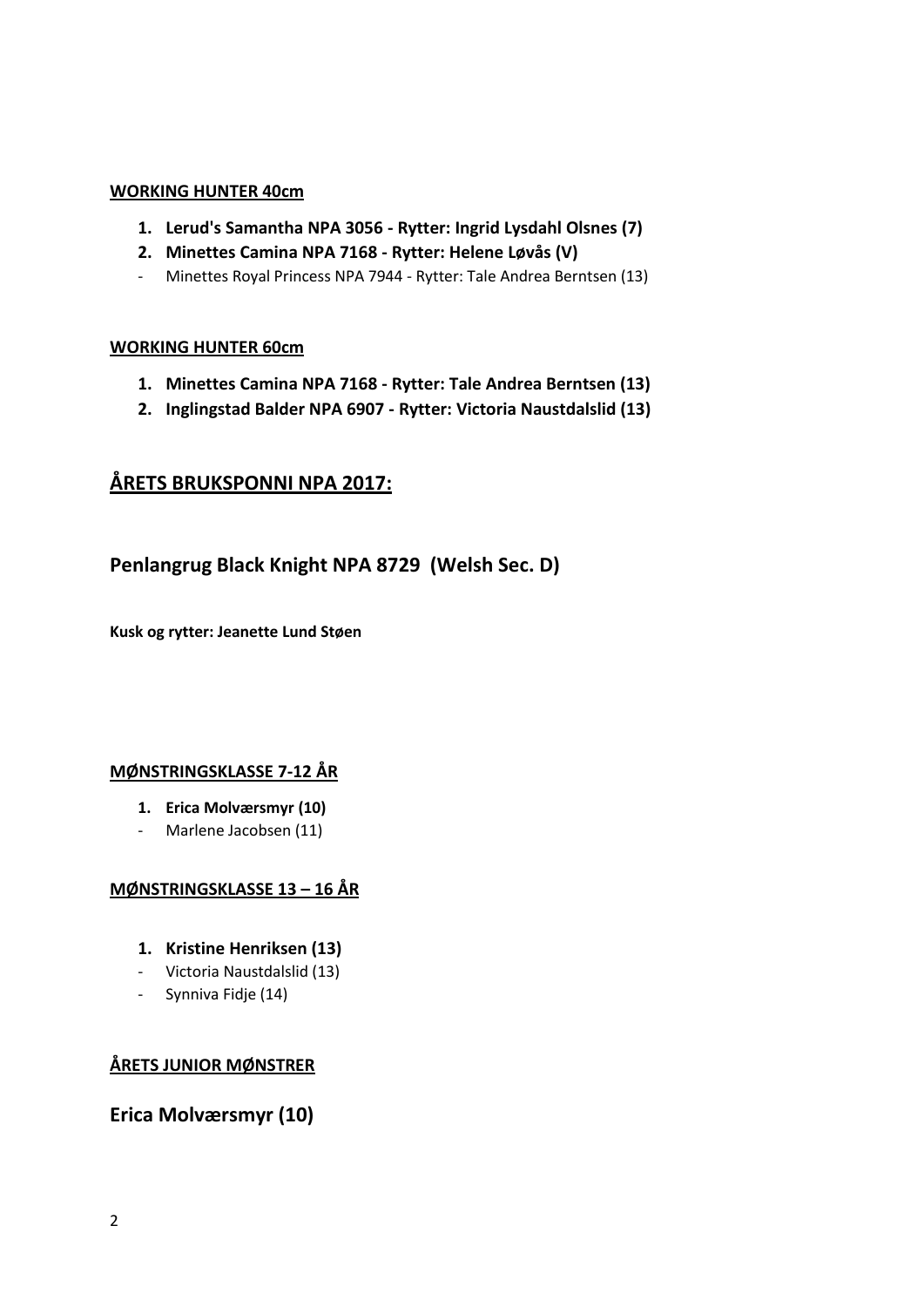## **WORKING HUNTER 40cm**

- **1. Lerud's Samantha NPA 3056 - Rytter: Ingrid Lysdahl Olsnes (7)**
- **2. Minettes Camina NPA 7168 - Rytter: Helene Løvås (V)**
- Minettes Royal Princess NPA 7944 Rytter: Tale Andrea Berntsen (13)

## **WORKING HUNTER 60cm**

- **1. Minettes Camina NPA 7168 - Rytter: Tale Andrea Berntsen (13)**
- **2. Inglingstad Balder NPA 6907 - Rytter: Victoria Naustdalslid (13)**

# **ÅRETS BRUKSPONNI NPA 2017:**

# **Penlangrug Black Knight NPA 8729 (Welsh Sec. D)**

**Kusk og rytter: Jeanette Lund Støen**

## **MØNSTRINGSKLASSE 7-12 ÅR**

- **1. Erica Molværsmyr (10)**
- Marlene Jacobsen (11)

## **MØNSTRINGSKLASSE 13 – 16 ÅR**

- **1. Kristine Henriksen (13)**
- Victoria Naustdalslid (13)
- Synniva Fidje (14)

# **ÅRETS JUNIOR MØNSTRER**

# **Erica Molværsmyr (10)**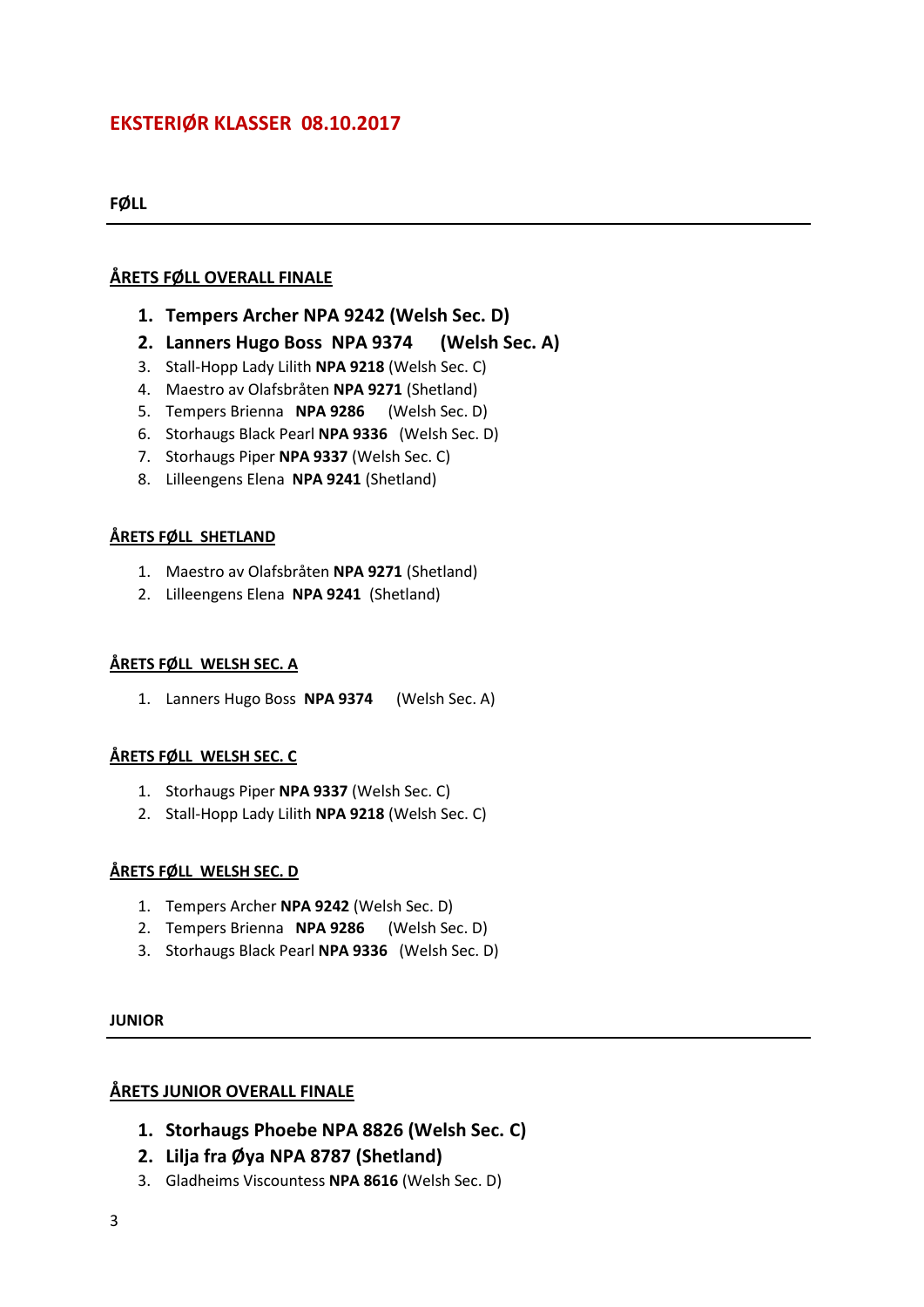# **EKSTERIØR KLASSER 08.10.2017**

**FØLL**

## **ÅRETS FØLL OVERALL FINALE**

- **1. Tempers Archer NPA 9242 (Welsh Sec. D)**
- **2. Lanners Hugo Boss NPA 9374 (Welsh Sec. A)**
- 3. Stall-Hopp Lady Lilith **NPA 9218** (Welsh Sec. C)
- 4. Maestro av Olafsbråten **NPA 9271** (Shetland)
- 5. Tempers Brienna **NPA 9286** (Welsh Sec. D)
- 6. Storhaugs Black Pearl **NPA 9336** (Welsh Sec. D)
- 7. Storhaugs Piper **NPA 9337** (Welsh Sec. C)
- 8. Lilleengens Elena **NPA 9241** (Shetland)

## **ÅRETS FØLL SHETLAND**

- 1. Maestro av Olafsbråten **NPA 9271** (Shetland)
- 2. Lilleengens Elena **NPA 9241** (Shetland)

### **ÅRETS FØLL WELSH SEC. A**

1. Lanners Hugo Boss **NPA 9374** (Welsh Sec. A)

## **ÅRETS FØLL WELSH SEC. C**

- 1. Storhaugs Piper **NPA 9337** (Welsh Sec. C)
- 2. Stall-Hopp Lady Lilith **NPA 9218** (Welsh Sec. C)

#### **ÅRETS FØLL WELSH SEC. D**

- 1. Tempers Archer **NPA 9242** (Welsh Sec. D)
- 2. Tempers Brienna **NPA 9286** (Welsh Sec. D)
- 3. Storhaugs Black Pearl **NPA 9336** (Welsh Sec. D)

#### **JUNIOR**

## **ÅRETS JUNIOR OVERALL FINALE**

- **1. Storhaugs Phoebe NPA 8826 (Welsh Sec. C)**
- **2. Lilja fra Øya NPA 8787 (Shetland)**
- 3. Gladheims Viscountess **NPA 8616** (Welsh Sec. D)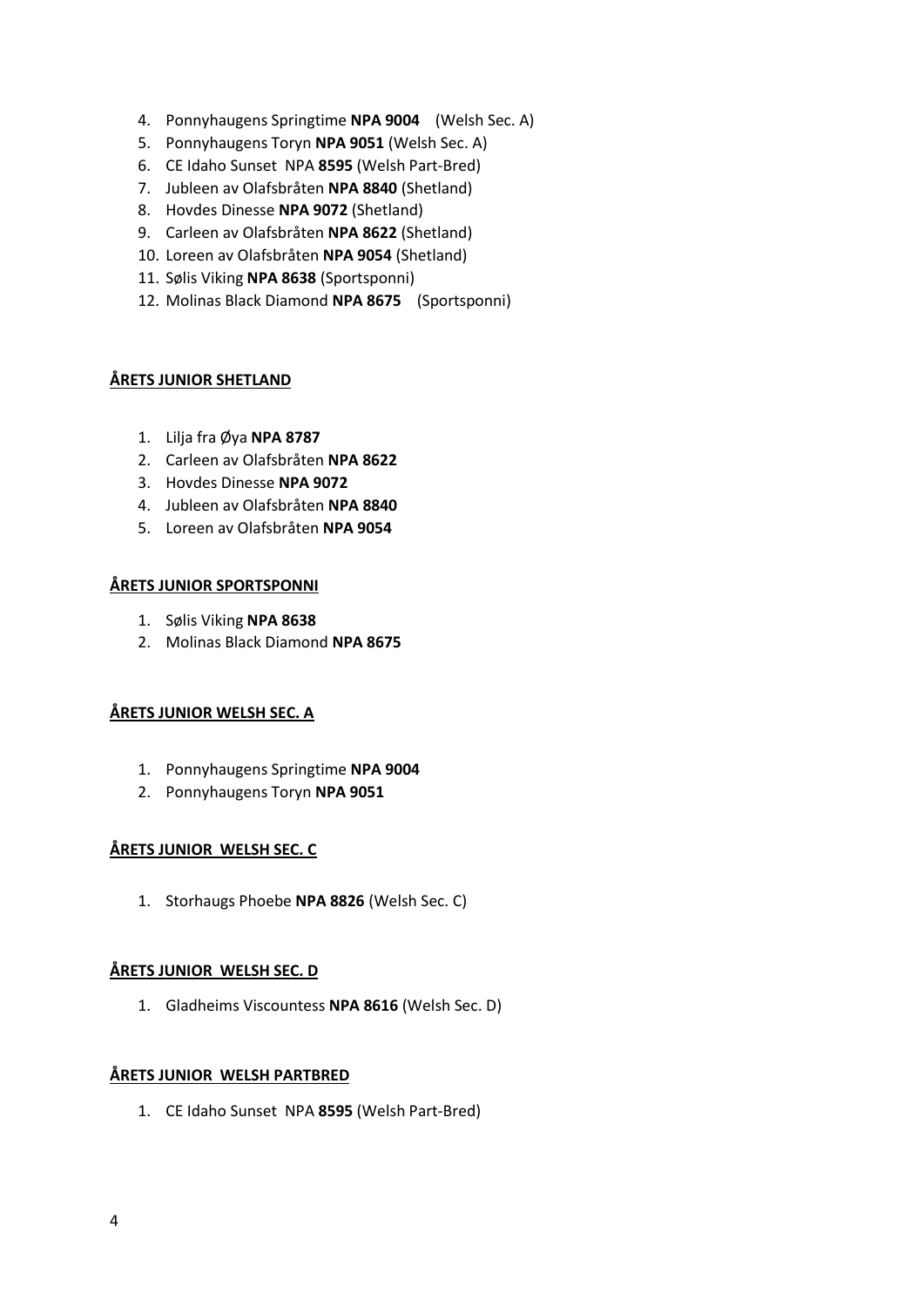- 4. Ponnyhaugens Springtime **NPA 9004** (Welsh Sec. A)
- 5. Ponnyhaugens Toryn **NPA 9051** (Welsh Sec. A)
- 6. CE Idaho Sunset NPA **8595** (Welsh Part-Bred)
- 7. Jubleen av Olafsbråten **NPA 8840** (Shetland)
- 8. Hovdes Dinesse **NPA 9072** (Shetland)
- 9. Carleen av Olafsbråten **NPA 8622** (Shetland)
- 10. Loreen av Olafsbråten **NPA 9054** (Shetland)
- 11. Sølis Viking **NPA 8638** (Sportsponni)
- 12. Molinas Black Diamond **NPA 8675** (Sportsponni)

### **ÅRETS JUNIOR SHETLAND**

- 1. Lilja fra Øya **NPA 8787**
- 2. Carleen av Olafsbråten **NPA 8622**
- 3. Hovdes Dinesse **NPA 9072**
- 4. Jubleen av Olafsbråten **NPA 8840**
- 5. Loreen av Olafsbråten **NPA 9054**

### **ÅRETS JUNIOR SPORTSPONNI**

- 1. Sølis Viking **NPA 8638**
- 2. Molinas Black Diamond **NPA 8675**

## **ÅRETS JUNIOR WELSH SEC. A**

- 1. Ponnyhaugens Springtime **NPA 9004**
- 2. Ponnyhaugens Toryn **NPA 9051**

## **ÅRETS JUNIOR WELSH SEC. C**

1. Storhaugs Phoebe **NPA 8826** (Welsh Sec. C)

## **ÅRETS JUNIOR WELSH SEC. D**

1. Gladheims Viscountess **NPA 8616** (Welsh Sec. D)

#### **ÅRETS JUNIOR WELSH PARTBRED**

1. CE Idaho Sunset NPA **8595** (Welsh Part-Bred)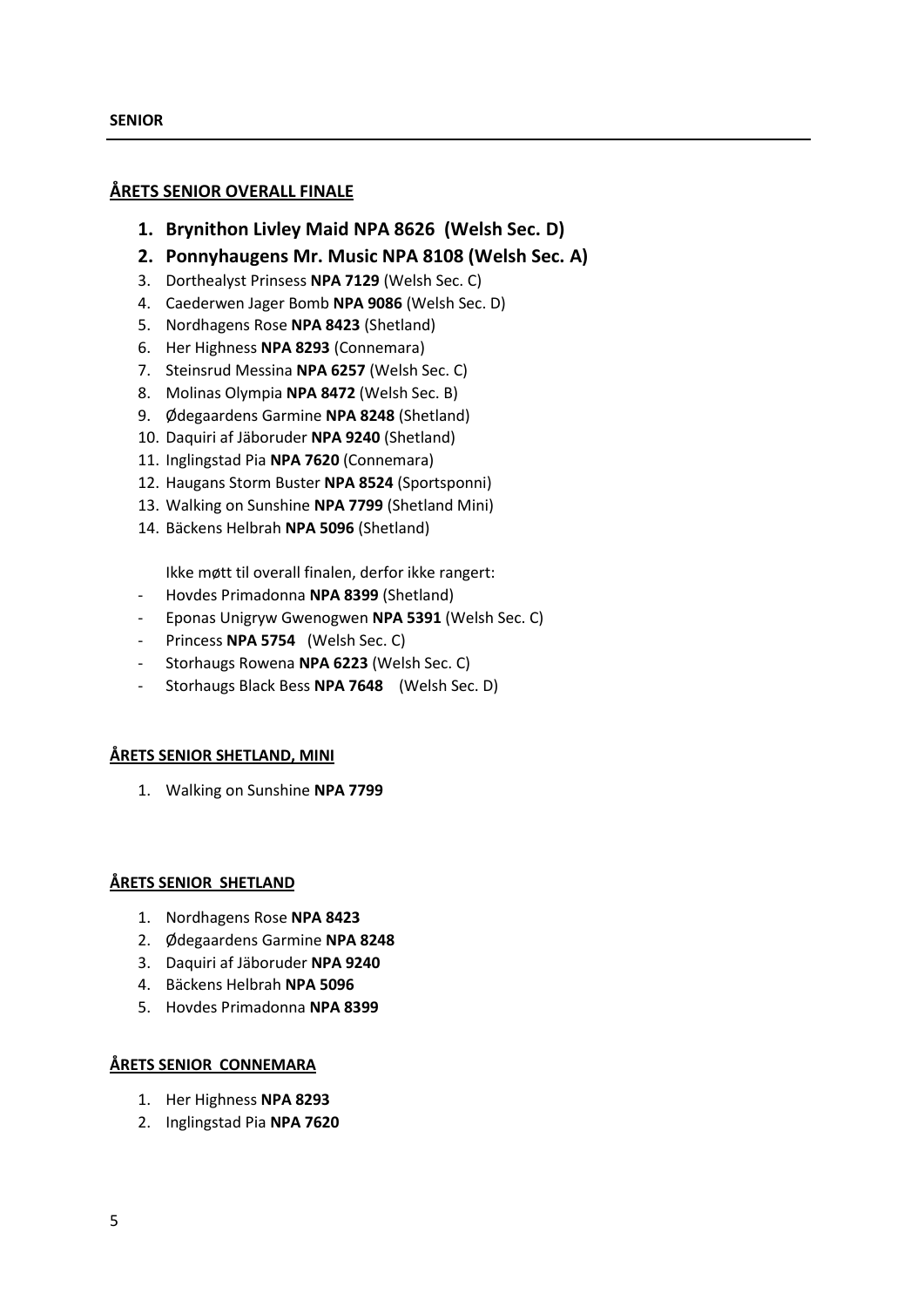## **ÅRETS SENIOR OVERALL FINALE**

- **1. Brynithon Livley Maid NPA 8626 (Welsh Sec. D)**
- **2. Ponnyhaugens Mr. Music NPA 8108 (Welsh Sec. A)**
- 3. Dorthealyst Prinsess **NPA 7129** (Welsh Sec. C)
- 4. Caederwen Jager Bomb **NPA 9086** (Welsh Sec. D)
- 5. Nordhagens Rose **NPA 8423** (Shetland)
- 6. Her Highness **NPA 8293** (Connemara)
- 7. Steinsrud Messina **NPA 6257** (Welsh Sec. C)
- 8. Molinas Olympia **NPA 8472** (Welsh Sec. B)
- 9. Ødegaardens Garmine **NPA 8248** (Shetland)
- 10. Daquiri af Jäboruder **NPA 9240** (Shetland)
- 11. Inglingstad Pia **NPA 7620** (Connemara)
- 12. Haugans Storm Buster **NPA 8524** (Sportsponni)
- 13. Walking on Sunshine **NPA 7799** (Shetland Mini)
- 14. Bäckens Helbrah **NPA 5096** (Shetland)

Ikke møtt til overall finalen, derfor ikke rangert:

- Hovdes Primadonna **NPA 8399** (Shetland)
- Eponas Unigryw Gwenogwen **NPA 5391** (Welsh Sec. C)
- Princess **NPA 5754** (Welsh Sec. C)
- Storhaugs Rowena **NPA 6223** (Welsh Sec. C)
- Storhaugs Black Bess **NPA 7648** (Welsh Sec. D)

#### **ÅRETS SENIOR SHETLAND, MINI**

1. Walking on Sunshine **NPA 7799**

#### **ÅRETS SENIOR SHETLAND**

- 1. Nordhagens Rose **NPA 8423**
- 2. Ødegaardens Garmine **NPA 8248**
- 3. Daquiri af Jäboruder **NPA 9240**
- 4. Bäckens Helbrah **NPA 5096**
- 5. Hovdes Primadonna **NPA 8399**

#### **ÅRETS SENIOR CONNEMARA**

- 1. Her Highness **NPA 8293**
- 2. Inglingstad Pia **NPA 7620**